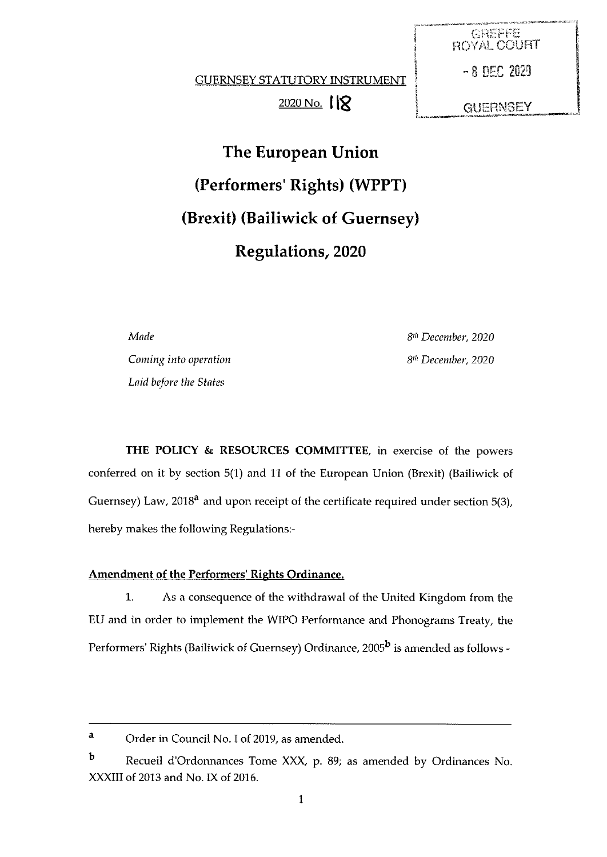GUERNSEY STATUTORY INSTRUMENT - 8 DEC 2029

 $2020$  No.  $18$ 

GREFFE **ROYAL COURT GUERNSEY** 

The European Union (Performers' Rights) (WPPT) (Brexit) (Bailiwick of Guernsey) Regulations, 2020

Made 8th December, 2020

Coming into operation and the community of the State Books of Books and State Books and State Books and State Books and State Books and State Books and State Books and State Books and State Books and State Books and State Laid before the States

THE POLICY & RESOURCES COMMITTEE, in exercise of the powers conferred on it by section 5(1) and <sup>11</sup> of the European Union (Brexit) (Bailiwick of Guernsey) Law, 2018<sup>a</sup> and upon receipt of the certificate required under section 5(3), hereby makes the following Regulations:

# Amendment of the Performers' Rights Ordinance.

1. As <sup>a</sup> consequence of the withdrawal of the United Kingdom from the EU and in order to implement the WIPO Performance and Phonograms Treaty, the Performers' Rights (Bailiwick of Guernsey) Ordinance, 2005<sup>b</sup> is amended as follows -

a Order in Council No. I of 2019, as amended.

b Recueil d'Ordonnances Tome XXX, p. 89; as amended by Ordinances No. XXXIII of 2013 and No. IX of 2016.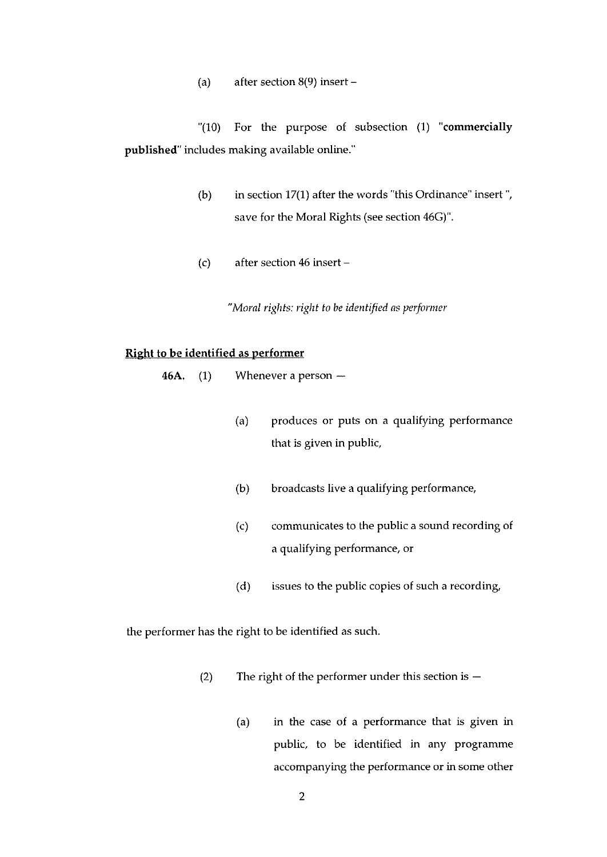(a) after section 8(9) insert —

"(10) For the purpose of subsection (1) 'commercially published' includes making available online."

- (b) in section  $17(1)$  after the words "this Ordinance" insert", save for the Moral Rights (see section 46G)".
- (c) after section 46 insert —

"Moral rights: right to be identified as performer

# Right to be identified as performer

- 46A. (1) Whenever a person
	- (a) produces or puts on a qualifying performance that is given in public,
	- (b) broadcasts live a qualifying performance,
	- (c) communicates to the public a sound recording of a qualifying performance, or
	- (d) issues to the public copies of such a recording,

the performer has the right to be identified as such.

- (2) The right of the performer under this section is  $-$ 
	- (a) in the case of a performance that is given in public, to be identified in any programme accompanying the performance or in some other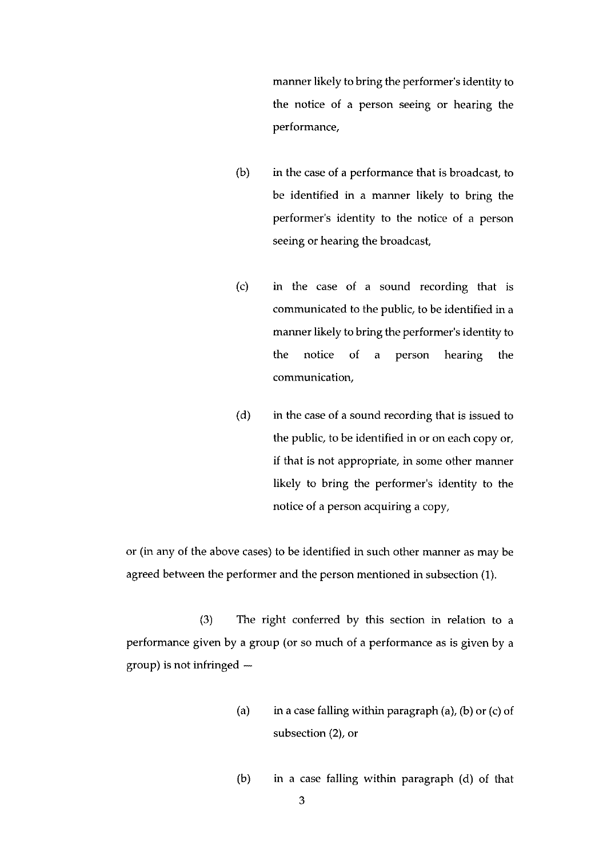manner likely to bring the performer's identity to the notice of a person seeing or hearing the performance,

- $(b)$  in the case of a performance that is broadcast, to be identified in a manner likely to bring the performer's identity to the notice of a person seeing or hearing the broadcast,
- (c) in the case of a sound recording that is communicated to the public, to be identified in <sup>a</sup> manner likely to bring the performer's identity to the notice of a person hearing the communication,
- (d) in the case of a sound recording that is issued to the public, to be identified in or on each copy or, if that is not appropriate, in some other manner likely to bring the performer's identity to the notice of a person acquiring a copy,

or (in any of the above cases) to be identified in such other manner as may be agreed between the performer and the person mentioned in subsection (1).

(3) The right conferred by this section in relation to a performance given by a group (or so much of <sup>a</sup> performance as is given by <sup>a</sup> group) is not infringed —

- (a) in a case falling within paragraph (a), (b) or (c) of subsection (2), or
- (b) in a case falling within paragraph (d) of that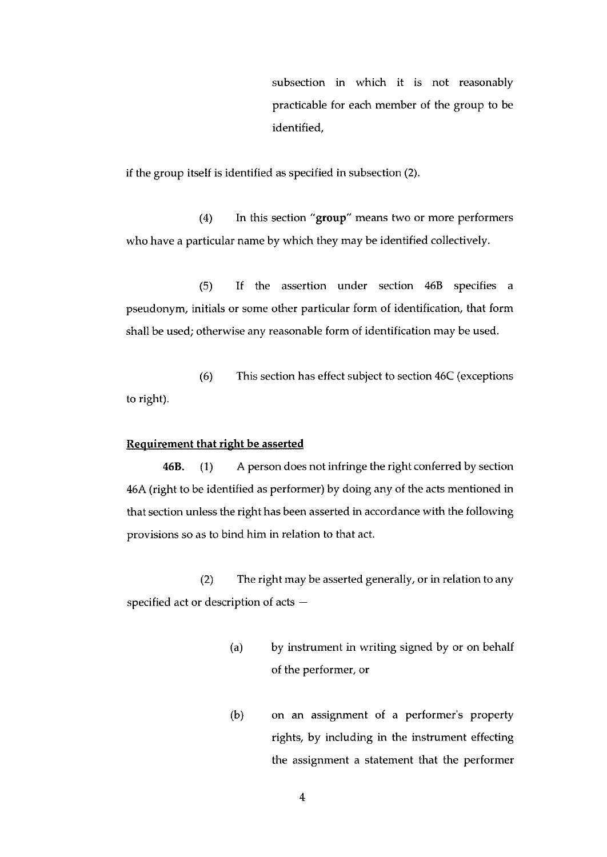subsection in which it is not reasonably practicable for each member of the group to be identified,

if the group itself is identified as specified in subsection (2).

(4) In this section "group" means two or more performers who have a particular name by which they may be identified collectively.

(5) If the assertion under section 46B specifies a pseudonym, initials or some other particular form of identification, that form shall be used; otherwise any reasonable form of identification may be used.

(6) This section has effect subject to section 46C (exceptions to right).

## Requirement that right be asserted

46B. (I) A person does not infringe the right conferred by section 46A (right to be identified as performer) by doing any of the acts mentioned in that section unless the right has been asserted in accordance with the following provisions so as to bind him in relation to that act.

(2) The right may be asserted generally, or in relation to any specified act or description of acts

- (a) by instrument in writing signed by or on behalf of the performer, or
- (b) on an assignment of a performer's property rights, by including in the instrument effecting the assignment a statement that the performer

4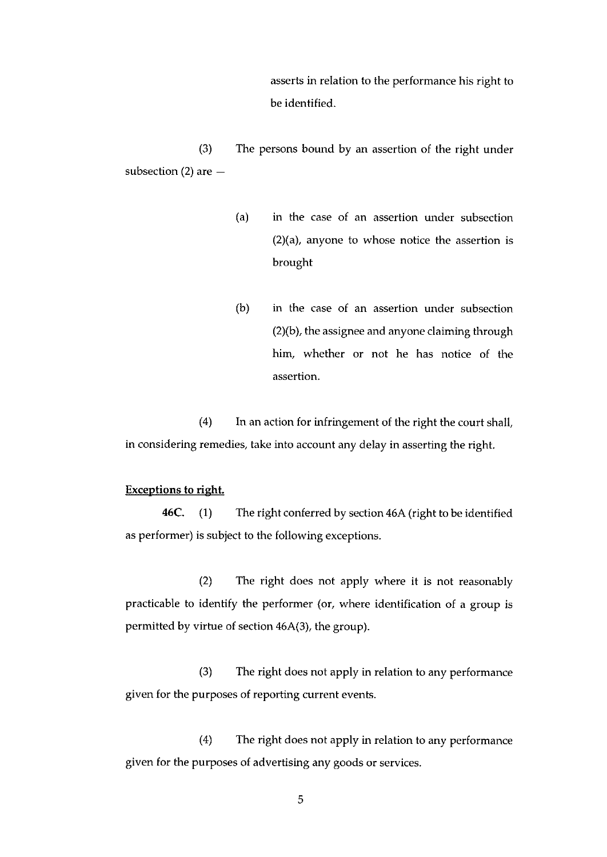asserts in relation to the performance his right to be identified.

(3) The persons bound by an assertion of the right under subsection  $(2)$  are  $-$ 

- (a) in the case of an assertion under subsection (2)(a), anyone to whose notice the assertion is brought
- (b) in the case of an assertion under subsection (2)(b), the assignee and anyone claiming through him, whether or not he has notice of the assertion.

(4) In an action for infringement of the right the court shall, in considering remedies, take into account any delay in asserting the right.

# Exceptions to right.

46C. (1) The right conferred by section 46A (right to be identified as performer) is subject to the following exceptions.

(2) The right does not apply where it is not reasonably practicable to identify the performer (or, where identification of a group is permitted by virtue of section 46A(3), the group).

(3) The right does not apply in relation to any performance given for the purposes of reporting current events.

(4) The right does not apply in relation to any performance given for the purposes of advertising any goods or services.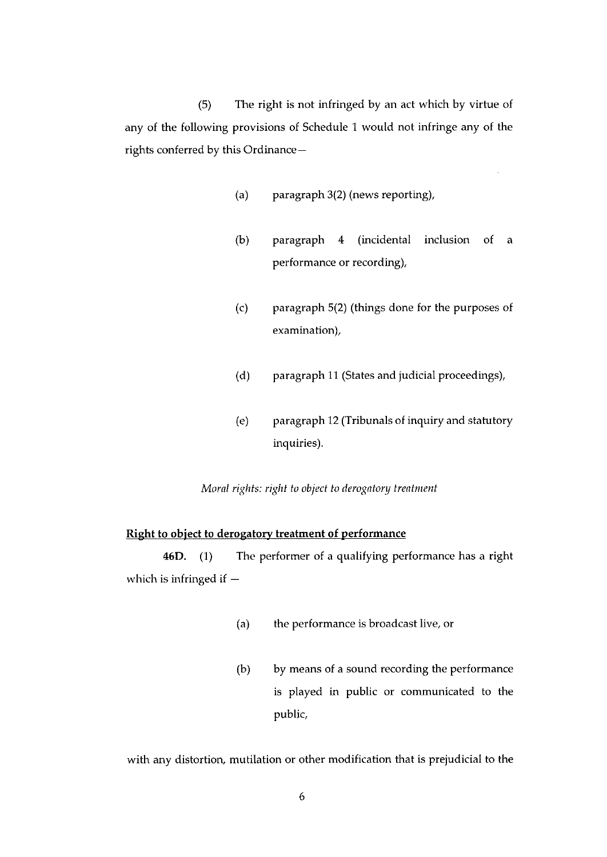(5) The right is not infringed by an act which by virtue of any of the following provisions of Schedule I would not infringe any of the rights conferred by this Ordinance—

- (a) paragraph 3(2) (news reporting),
- (b) paragraph 4 (incidental inclusion of a performance or recording),
- (c) paragraph 5(2) (things done for the purposes of examination),
- (d) paragraph <sup>11</sup> (States and judicial proceedings),
- (e) paragraph 12 (Tribunals of inquiry and statutory inquiries).

Moral rights: right to object to derogatory treatment

# Right to object to derogatory treatment of performance

46D. (1) The performer of a qualifying performance has a right which is infringed if —

- (a) the performance is broadcast live, or
- (b) by means of a sound recording the performance is played in public or communicated to the public,

with any distortion, mutilation or other modification that is prejudicial to the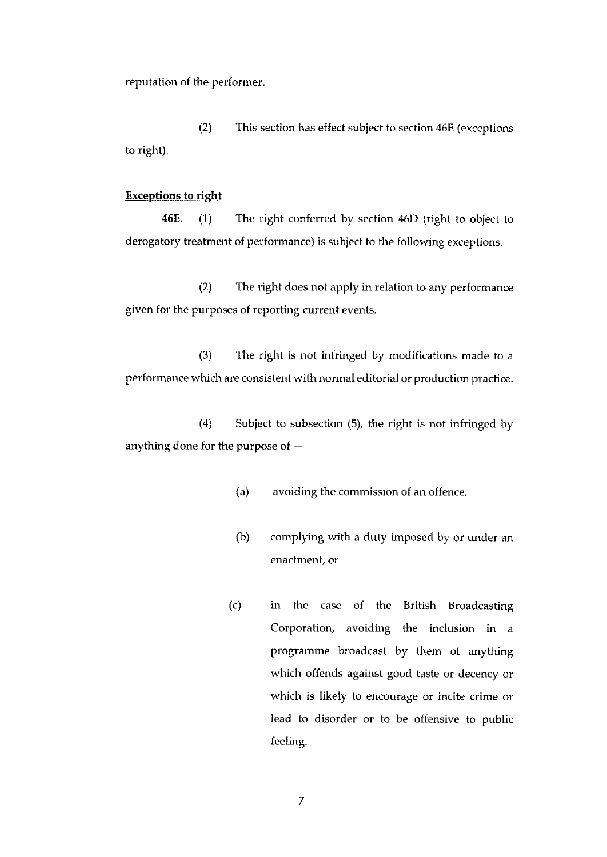reputation of the performer.

(2) This section has effect subject to section 46E (exceptions to right).

# Exceptions to right

46E. (1) The right conferred by section 46D (right to object to derogatory treatment of performance) is subject to the following exceptions.

(2) The right does not apply in relation to any performance given for the purposes of reporting current events.

(3) The right is not infringed by modifications made to <sup>a</sup> performance which are consistent with normal editorial or production practice.

(4) Subject to subsection (5), the right is not infringed by anything done for the purpose of —

- (a) avoiding the commission of an offence,
- (b) complying with <sup>a</sup> duty imposed by or under an enactment, or
- (c) in the case of the British Broadcasting Corporation, avoiding the inclusion in a programme broadcast by them of anything which offends against good taste or decency or which is likely to encourage or incite crime or lead to disorder or to be offensive to public feeling.

7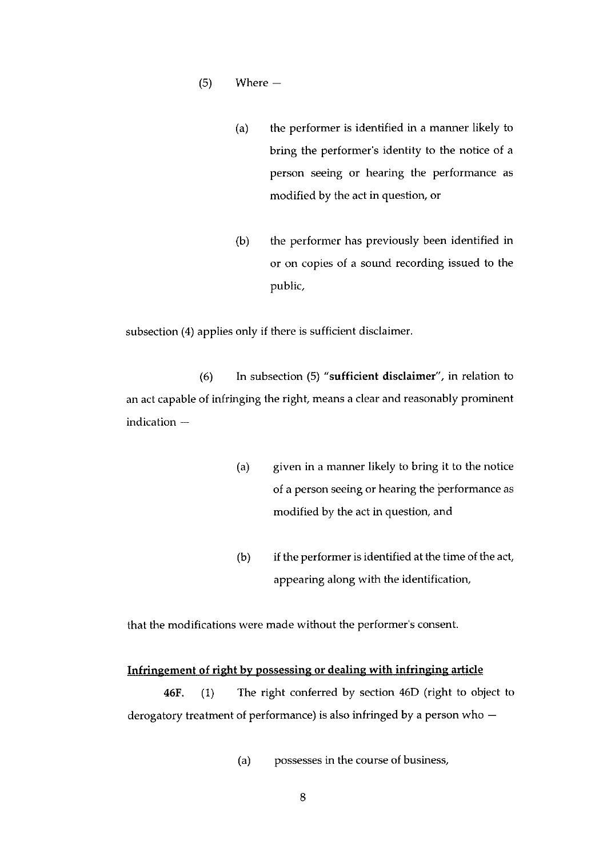- (5) Where
	- (a) the performer is identified in <sup>a</sup> manner likely to bring the performer's identity to the notice of a person seeing or hearing the performance as modified by the act in question, or
	- (b) the performer has previously been identified in or on copies of a sound recording issued to the public,

subsection (4) applies only if there is sufficient disclaimer.

(6) In subsection (5) "sufficient disclaimer", in relation to an act capable of infringing the right, means a clear and reasonably prominent indication —

- (a) given in a manner likely to bring it to the notice of a person seeing or hearing the performance as modified by the act in question, and
- (b) if the performer is identified at the time of the act, appearing along with the identification,

that the modifications were made without the performer's consent.

## Infringement of right by possessing or dealing with infringing article

46F. (1) The right conferred by section 46D (right to object to derogatory treatment of performance) is also infringed by <sup>a</sup> person who —

(a) possesses in the course of business,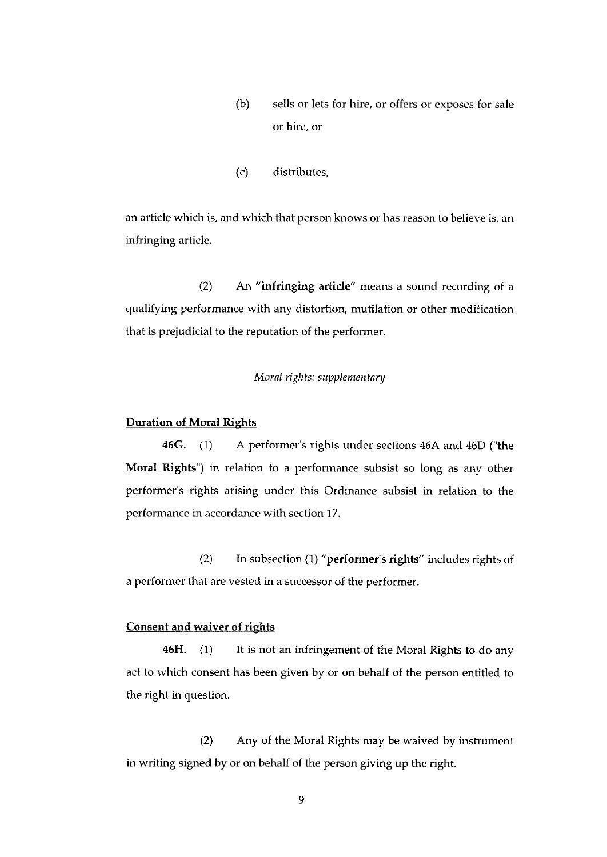- (b) sells or lets for hire, or offers or exposes for sale or hire, or
- (c) distributes,

an article which is, and which that person knows or has reason to believe is, an infringing article.

(2) An "infringing article" means a sound recording of <sup>a</sup> qualifying performance with any distortion, mutilation or other modification that is prejudicial to the reputation of the performer.

## Moral rights: supplementary

#### Duration of Moral Rights

46G. (1) A performer's rights under sections 46A and 46D ("the Moral Rights") in relation to a performance subsist so long as any other performer's rights arising under this Ordinance subsist in relation to the performance in accordance with section 17.

(2) In subsection (1) "performer's rights" includes rights of a performer that are vested in a successor of the performer.

## Consent and waiver of rights

46H. (1) It is not an infringement of the Moral Rights to do any act to which consent has been given by or on behalf of the person entitled to the right in question.

(2) Any of the Moral Rights may be waived by instrument in writing signed by or on behalf of the person giving up the right.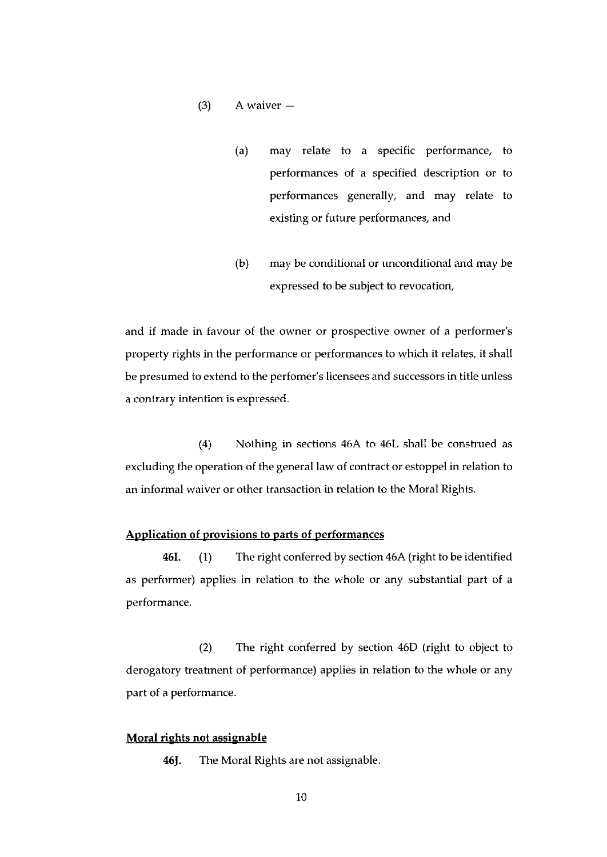## $(3)$  A waiver  $-$

- (a) may relate to a specific performance, to performances of a specified description or to performances generally, and may relate to existing or future performances, and
- (b) may be conditional or unconditional and may be expressed to be subject to revocation,

and if made in favour of the owner or prospective owner of a performer's property rights in the performance or performances to which it relates, it shall be presumed to extend to the perfomer's licensees and successors in title unless a contrary intention is expressed.

(4) Nothing in sections 46A to 46L shall be construed as excluding the operation of the general law of contract or estoppel in relation to an informal waiver or other transaction in relation to the Moral Rights.

## Application of provisions to parts of performances

461. (1) The right conferred by section 46A (right to be identified as performer) applies in relation to the whole or any substantial part of a performance.

(2) The right conferred by section 46D (right to object to derogatory treatment of performance) applies in relation to the whole or any part of a performance.

#### Moral rights not assignable

46J. The Moral Rights are not assignable.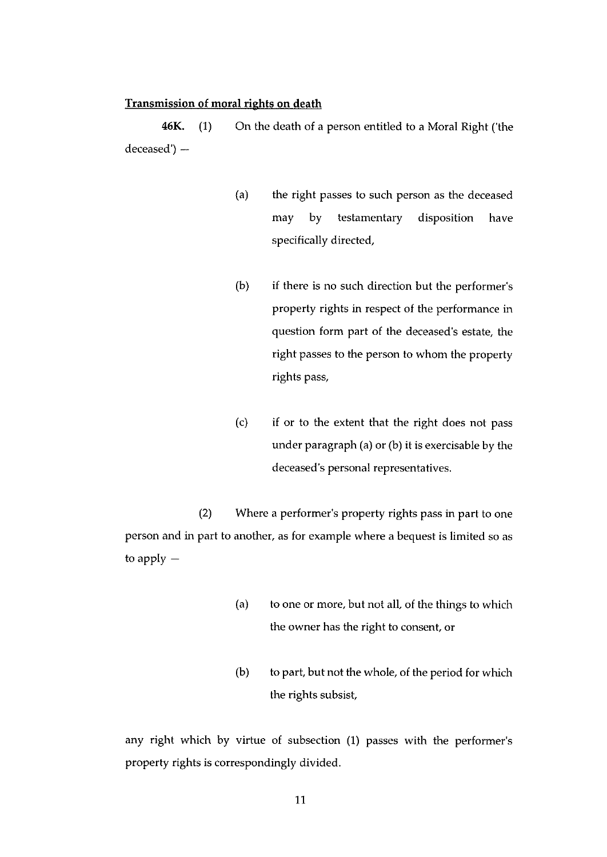## Transmission of moral rights on death

46K. (1) On the death of a person entitled to a Moral Right ('the deceased') —

- (a) the right passes to such person as the deceased may by testamentary disposition have specifically directed,
- (b) if there is no such direction but the performer's property rights in respect of the performance in question form part of the deceased's estate, the right passes to the person to whom the property rights pass,
- (c) if or to the extent that the right does not pass under paragraph (a) or (b) it is exercisable by the deceased's personal representatives.

(2) Where a performer's property rights pass in part to one person and in part to another, as for example where a bequest is limited so as to apply —

- (a) to one or more, but not all, of the things to which the owner has the right to consent, or
- (b) to part, but not the whole, of the period for which the rights subsist,

any right which by virtue of subsection (1) passes with the performer's property rights is correspondingly divided.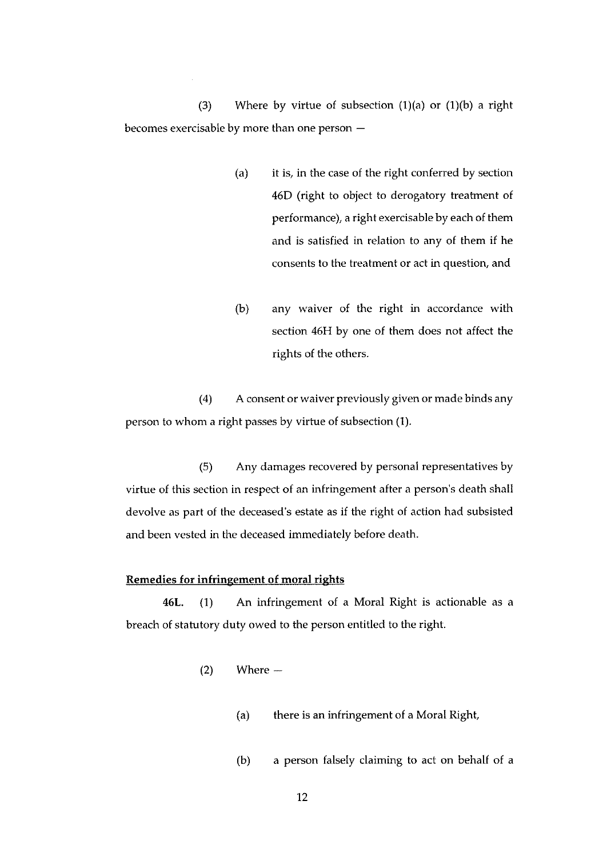(3) Where by virtue of subsection  $(1)(a)$  or  $(1)(b)$  a right becomes exercisable by more than one person —

- (a) it is, in the case of the right conferred by section 46D (right to object to derogatory treatment of performance), a right exercisable by each of them and is satisfied in relation to any of them if he consents to the treatment or act in question, and
- (b) any waiver of the right in accordance with section 46H by one of them does not affect the rights of the others.

(4) A consent or waiver previously given or made binds any person to whom a right passes by virtue of subsection (1).

(5) Any damages recovered by personal representatives by virtue of this section in respect of an infringement after a person's death shall devolve as part of the deceased's estate as if the right of action had subsisted and been vested in the deceased immediately before death.

## Remedies for infringement of moral rights

46L. (1) An infringement of a Moral Right is actionable as a breach of statutory duty owed to the person entitled to the right.

- (2) Where
	- (a) there is an infringement of a Moral Right,
	- (b) a person falsely claiming to act on behalf of a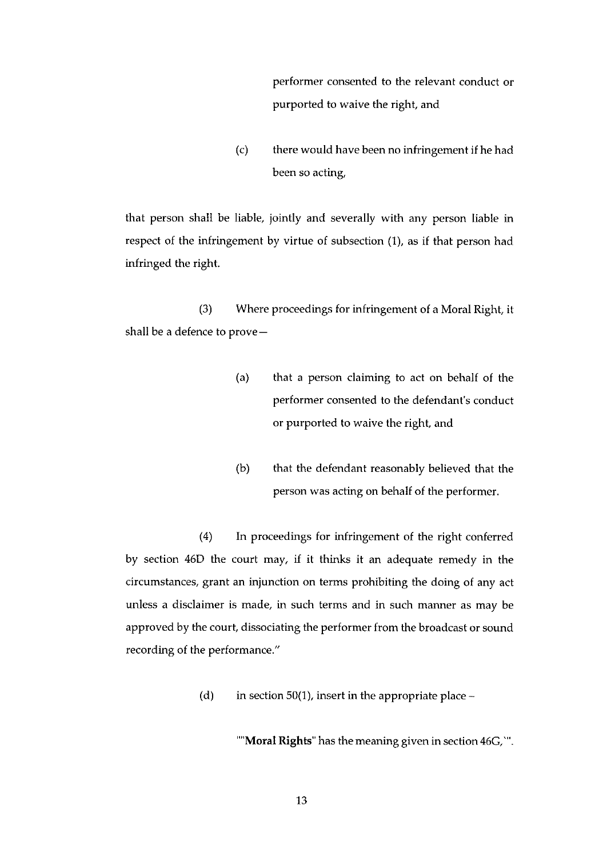performer consented to the relevant conduct or purported to waive the right, and

(c) there would have been no infringement if he had been so acting,

that person shall be liable, jointly and severally with any person liable in respect of the infringement by virftie of subsection (1), as if that person had infringed the right.

(3) Where proceedings for infringement of a Moral Right, it shall be a defence to prove—

- (a) that <sup>a</sup> person claiming to act on behalf of the performer consented to the defendant's conduct or purported to waive the right, and
- (b) that the defendant reasonably believed that the person was acting on behalf of the performer.

(4) In proceedings for infringement of the right conferred by section 46D the court may, if it thinks it an adequate remedy in the circumstances, grant an injunction on terms prohibiting the doing of any act unless a disclaimer is made, in such terms and in such manner as may be approved by the court, dissociating the performer from the broadcast or sound recording of the performance."

(d) in section 50(1), insert in the appropriate place  $-$ 

"Moral Rights" has the meaning given in section 46G,".

13